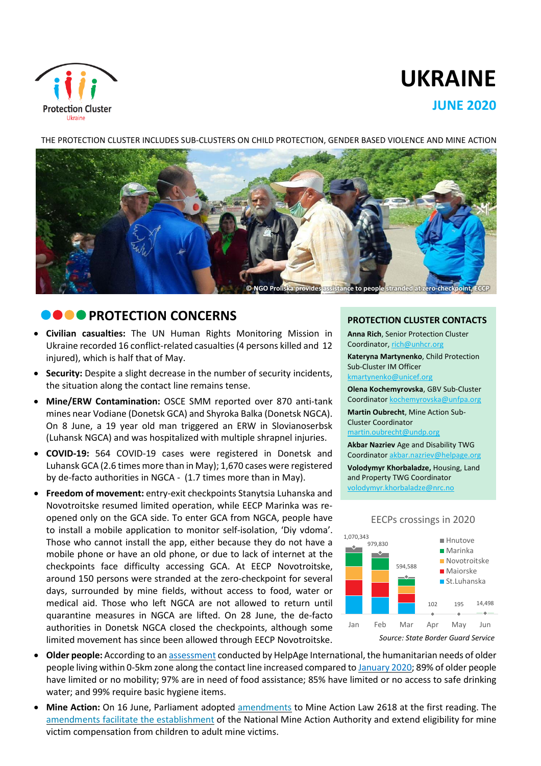

# **UKRAINE**

# **JUNE 2020**

#### THE PROTECTION CLUSTER INCLUDES SUB-CLUSTERS ON CHILD PROTECTION, GENDER BASED VIOLENCE AND MINE ACTION



# **CONCERNS**

- **Civilian casualties:** The UN Human Rights Monitoring Mission in Ukraine recorded 16 conflict-related casualties(4 persons killed and 12 injured), which is half that of May.
- **Security:** Despite a slight decrease in the number of security incidents, the situation along the contact line remains tense.
- **Mine/ERW Contamination:** OSCE SMM reported over 870 anti-tank mines near Vodiane (Donetsk GCA) and Shyroka Balka (Donetsk NGCA). On 8 June, a 19 year old man triggered an ERW in Slovianoserbsk (Luhansk NGCA) and was hospitalized with multiple shrapnel injuries.
- **COVID-19:** 564 COVID-19 cases were registered in Donetsk and Luhansk GCA (2.6 times more than in May); 1,670 cases were registered by de-facto authorities in NGCA - (1.7 times more than in May).
- **Freedom of movement:** entry-exit checkpoints Stanytsia Luhanska and Novotroitske resumed limited operation, while EECP Marinka was reopened only on the GCA side. To enter GCA from NGCA, people have to install a mobile application to monitor self-isolation, 'Diy vdoma'. Those who cannot install the app, either because they do not have a mobile phone or have an old phone, or due to lack of internet at the checkpoints face difficulty accessing GCA. At EECP Novotroitske, around 150 persons were stranded at the zero-checkpoint for several days, surrounded by mine fields, without access to food, water or medical aid. Those who left NGCA are not allowed to return until quarantine measures in NGCA are lifted. On 28 June, the de-facto authorities in Donetsk NGCA closed the checkpoints, although some limited movement has since been allowed through EECP Novotroitske.

#### **PROTECTION CLUSTER CONTACTS**

**Anna Rich**, Senior Protection Cluster Coordinator, [rich@unhcr.org](mailto:rich@unhcr.org)

**Kateryna Martynenko**, Child Protection Sub-Cluster IM Officer kmartynenko@unicef.org

**Olena Kochemyrovska**, GBV Sub-Cluster

Coordinator [kochemyrovska@unfpa.org](mailto:kristesashvili@unfpa.org)

**Martin Oubrecht**, Mine Action Sub-Cluster Coordinator

[martin.oubrecht@undp.org](mailto:martin.oubrecht@undp.org)

**Akbar Nazriev** Age and Disability TWG Coordinator akbar.nazriev@helpage.org

**Volodymyr Khorbaladze,** Housing, Land and Property TWG Coordinator [volodymyr.khorbaladze@nrc.no](mailto:volodymyr.khorbaladze@nrc.no)



- **Older people:** According to an [assessment](https://www.humanitarianresponse.info/sites/www.humanitarianresponse.info/files/documents/files/older_women_and_men_needs_assessment_in_covid-19_pandemic_en.pdf) conducted by HelpAge International, the humanitarian needs of older people living within 0-5km zone along the contact line increased compared to [January](https://www.humanitarianresponse.info/sites/www.humanitarianresponse.info/files/documents/files/snapshot_older_people_needs_2020_eng.pdf) 2020; 89% of older people have limited or no mobility; 97% are in need of food assistance; 85% have limited or no access to safe drinking water; and 99% require basic hygiene items.
- **Mine Action:** On 16 June, Parliament adopted [amendments](http://w1.c1.rada.gov.ua/pls/zweb2/webproc4_1?pf3511=67674) to Mine Action Law 2618 at the first reading. The amendments facilitate the [establishment](https://www.humanitarianresponse.info/sites/www.humanitarianresponse.info/files/documents/files/06_2020_drc-ddg_legal_alert_eng.pdf) of the National Mine Action Authority and extend eligibility for mine victim compensation from children to adult mine victims.